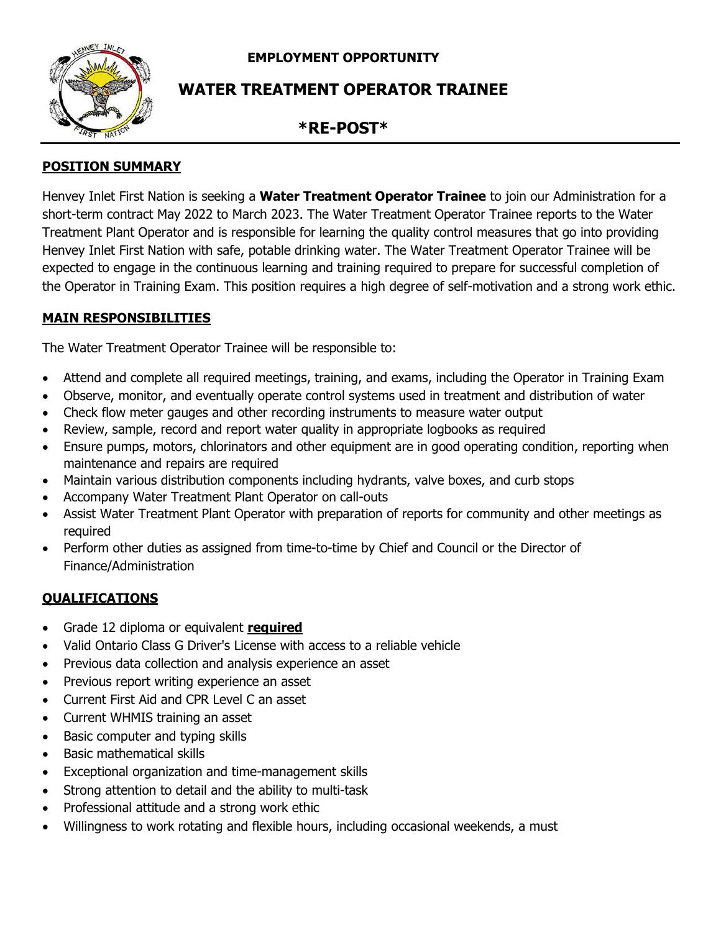**EMPLOYMENT OPPORTUNITY**



# **WATER TREATMENT OPERATOR TRAINEE**

## **\*RE-POST\***

### **POSITION SUMMARY**

Henvey Inlet First Nation is seeking a **Water Treatment Operator Trainee** to join our Administration for a short-term contract May 2022 to March 2023. The Water Treatment Operator Trainee reports to the Water Treatment Plant Operator and is responsible for learning the quality control measures that go into providing Henvey Inlet First Nation with safe, potable drinking water. The Water Treatment Operator Trainee will be expected to engage in the continuous learning and training required to prepare for successful completion of the Operator in Training Exam. This position requires a high degree of self-motivation and a strong work ethic.

#### **MAIN RESPONSIBILITIES**

The Water Treatment Operator Trainee will be responsible to:

- Attend and complete all required meetings, training, and exams, including the Operator in Training Exam
- Observe, monitor, and eventually operate control systems used in treatment and distribution of water
- Check flow meter gauges and other recording instruments to measure water output
- Review, sample, record and report water quality in appropriate logbooks as required
- Ensure pumps, motors, chlorinators and other equipment are in good operating condition, reporting when maintenance and repairs are required
- Maintain various distribution components including hydrants, valve boxes, and curb stops
- Accompany Water Treatment Plant Operator on call-outs
- Assist Water Treatment Plant Operator with preparation of reports for community and other meetings as required
- Perform other duties as assigned from time-to-time by Chief and Council or the Director of Finance/Administration

#### **QUALIFICATIONS**

- Grade 12 diploma or equivalent **required**
- Valid Ontario Class G Driver's License with access to a reliable vehicle
- Previous data collection and analysis experience an asset
- Previous report writing experience an asset
- Current First Aid and CPR Level C an asset
- Current WHMIS training an asset
- Basic computer and typing skills
- Basic mathematical skills
- Exceptional organization and time-management skills
- Strong attention to detail and the ability to multi-task
- Professional attitude and a strong work ethic
- Willingness to work rotating and flexible hours, including occasional weekends, a must